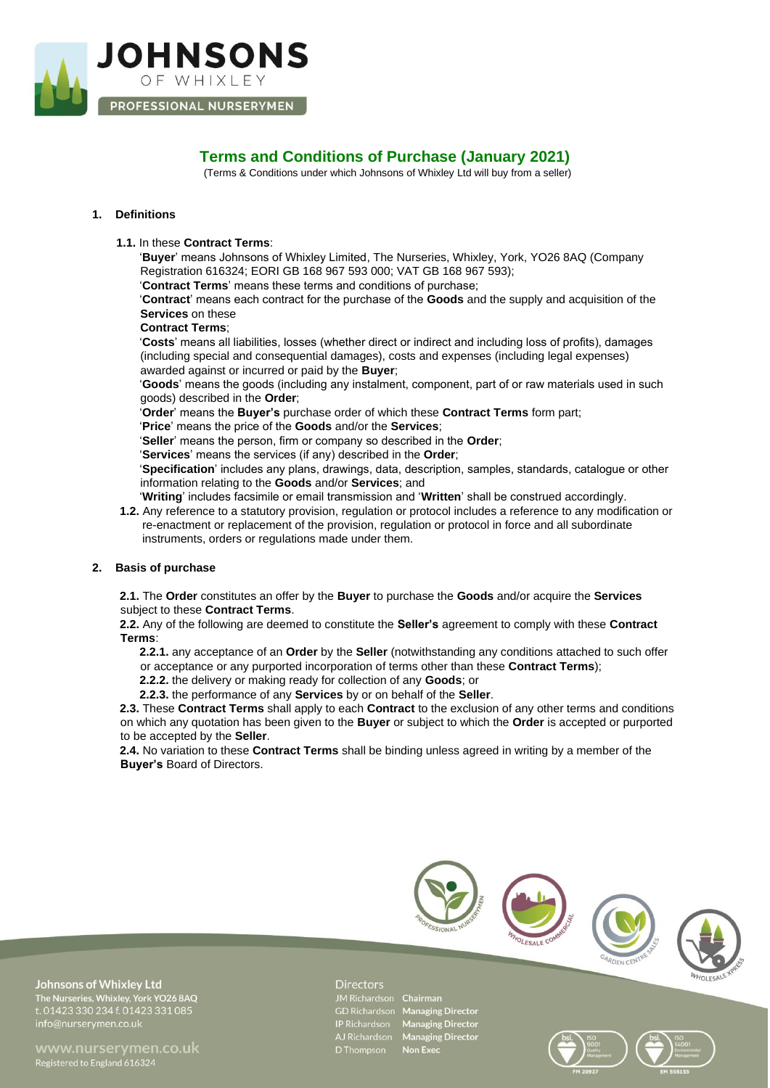

# **Terms and Conditions of Purchase (January 2021)**

(Terms & Conditions under which Johnsons of Whixley Ltd will buy from a seller)

# **1. Definitions**

## **1.1.** In these **Contract Terms**:

'**Buyer**' means Johnsons of Whixley Limited, The Nurseries, Whixley, York, YO26 8AQ (Company Registration 616324; EORI GB 168 967 593 000; VAT GB 168 967 593);

'**Contract Terms**' means these terms and conditions of purchase;

'**Contract**' means each contract for the purchase of the **Goods** and the supply and acquisition of the **Services** on these

**Contract Terms**;

'**Costs**' means all liabilities, losses (whether direct or indirect and including loss of profits), damages (including special and consequential damages), costs and expenses (including legal expenses) awarded against or incurred or paid by the **Buyer**;

'**Goods**' means the goods (including any instalment, component, part of or raw materials used in such goods) described in the **Order**;

'**Order**' means the **Buyer's** purchase order of which these **Contract Terms** form part;

'**Price**' means the price of the **Goods** and/or the **Services**;

'**Seller**' means the person, firm or company so described in the **Order**;

'**Services**' means the services (if any) described in the **Order**;

'**Specification**' includes any plans, drawings, data, description, samples, standards, catalogue or other information relating to the **Goods** and/or **Services**; and

'**Writing**' includes facsimile or email transmission and '**Written**' shall be construed accordingly.

**1.2.** Any reference to a statutory provision, regulation or protocol includes a reference to any modification or re-enactment or replacement of the provision, regulation or protocol in force and all subordinate instruments, orders or regulations made under them.

# **2. Basis of purchase**

**2.1.** The **Order** constitutes an offer by the **Buyer** to purchase the **Goods** and/or acquire the **Services** subject to these **Contract Terms**.

**2.2.** Any of the following are deemed to constitute the **Seller's** agreement to comply with these **Contract Terms**:

**2.2.1.** any acceptance of an **Order** by the **Seller** (notwithstanding any conditions attached to such offer or acceptance or any purported incorporation of terms other than these **Contract Terms**);

**2.2.2.** the delivery or making ready for collection of any **Goods**; or

**2.2.3.** the performance of any **Services** by or on behalf of the **Seller**.

**2.3.** These **Contract Terms** shall apply to each **Contract** to the exclusion of any other terms and conditions on which any quotation has been given to the **Buyer** or subject to which the **Order** is accepted or purported to be accepted by the **Seller**.

**2.4.** No variation to these **Contract Terms** shall be binding unless agreed in writing by a member of the **Buyer's** Board of Directors.



**Johnsons of Whixley Ltd** The Nurseries, Whixley, York YO26 8AQ<br>t. 01423 330 234 f. 01423 331 085

Registered to England 616324

#### **Directors**

JM Richardson Chairman GD Richardson Managing Director IP Richardson Managing Director<br>AJ Richardson Managing Director<br>D Thompson Non Exec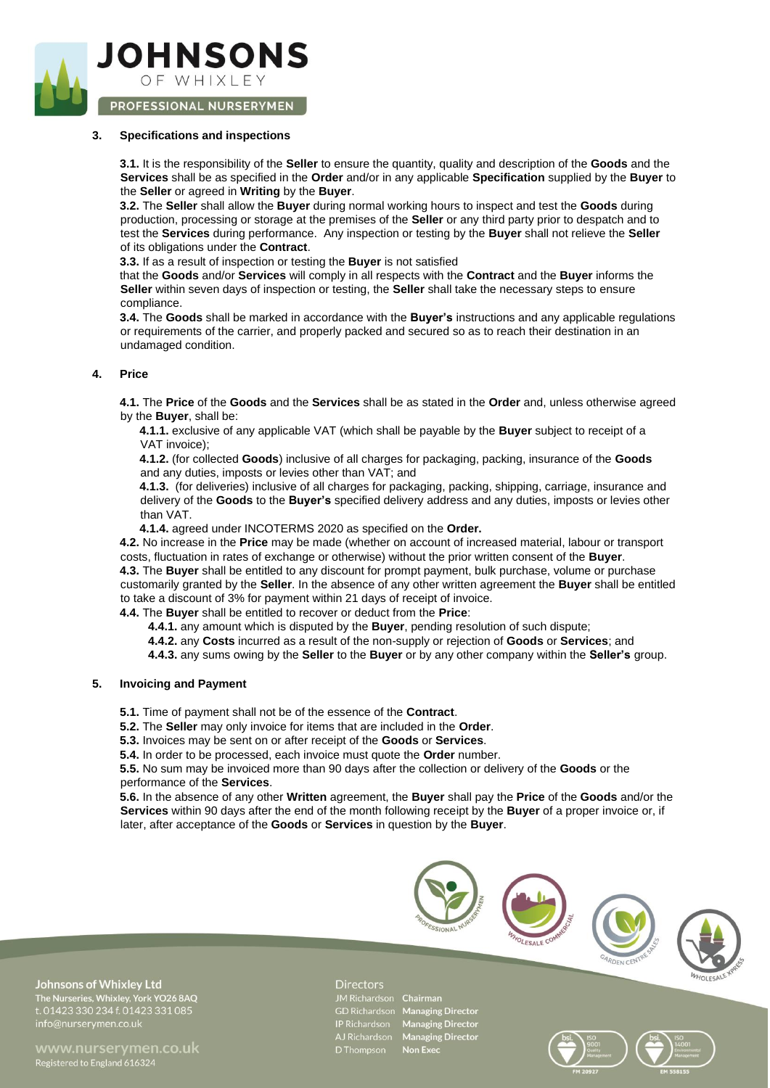

PROFESSIONAL NURSERYMEN

## **3. Specifications and inspections**

**3.1.** It is the responsibility of the **Seller** to ensure the quantity, quality and description of the **Goods** and the **Services** shall be as specified in the **Order** and/or in any applicable **Specification** supplied by the **Buyer** to the **Seller** or agreed in **Writing** by the **Buyer**.

**3.2.** The **Seller** shall allow the **Buyer** during normal working hours to inspect and test the **Goods** during production, processing or storage at the premises of the **Seller** or any third party prior to despatch and to test the **Services** during performance. Any inspection or testing by the **Buyer** shall not relieve the **Seller** of its obligations under the **Contract**.

**3.3.** If as a result of inspection or testing the **Buyer** is not satisfied

that the **Goods** and/or **Services** will comply in all respects with the **Contract** and the **Buyer** informs the **Seller** within seven days of inspection or testing, the **Seller** shall take the necessary steps to ensure compliance.

**3.4.** The **Goods** shall be marked in accordance with the **Buyer's** instructions and any applicable regulations or requirements of the carrier, and properly packed and secured so as to reach their destination in an undamaged condition.

## **4. Price**

**4.1.** The **Price** of the **Goods** and the **Services** shall be as stated in the **Order** and, unless otherwise agreed by the **Buyer**, shall be:

**4.1.1.** exclusive of any applicable VAT (which shall be payable by the **Buyer** subject to receipt of a VAT invoice);

**4.1.2.** (for collected **Goods**) inclusive of all charges for packaging, packing, insurance of the **Goods**  and any duties, imposts or levies other than VAT; and

**4.1.3.** (for deliveries) inclusive of all charges for packaging, packing, shipping, carriage, insurance and delivery of the **Goods** to the **Buyer's** specified delivery address and any duties, imposts or levies other than VAT.

**4.1.4.** agreed under INCOTERMS 2020 as specified on the **Order.**

**4.2.** No increase in the **Price** may be made (whether on account of increased material, labour or transport costs, fluctuation in rates of exchange or otherwise) without the prior written consent of the **Buyer**. **4.3.** The **Buyer** shall be entitled to any discount for prompt payment, bulk purchase, volume or purchase customarily granted by the **Seller**. In the absence of any other written agreement the **Buyer** shall be entitled to take a discount of 3% for payment within 21 days of receipt of invoice.

**4.4.** The **Buyer** shall be entitled to recover or deduct from the **Price**:

- **4.4.1.** any amount which is disputed by the **Buyer**, pending resolution of such dispute;
- **4.4.2.** any **Costs** incurred as a result of the non-supply or rejection of **Goods** or **Services**; and
- **4.4.3.** any sums owing by the **Seller** to the **Buyer** or by any other company within the **Seller's** group.

#### **5. Invoicing and Payment**

**5.1.** Time of payment shall not be of the essence of the **Contract**.

**5.2.** The **Seller** may only invoice for items that are included in the **Order**.

- **5.3.** Invoices may be sent on or after receipt of the **Goods** or **Services**.
- **5.4.** In order to be processed, each invoice must quote the **Order** number.

**5.5.** No sum may be invoiced more than 90 days after the collection or delivery of the **Goods** or the performance of the **Services**.

**5.6.** In the absence of any other **Written** agreement, the **Buyer** shall pay the **Price** of the **Goods** and/or the **Services** within 90 days after the end of the month following receipt by the **Buyer** of a proper invoice or, if later, after acceptance of the **Goods** or **Services** in question by the **Buyer**.



**Johnsons of Whixley Ltd** The Nurseries, Whixley, York YO26 8AQ<br>t. 01423 330 234 f. 01423 331 085

www.nurservmen.co.uk Registered to England 616324

#### **Directors**

JM Richardson Chairman GD Richardson Managing Director

IP Richardson Managing Director<br>AJ Richardson Managing Director<br>D Thompson Non Exec

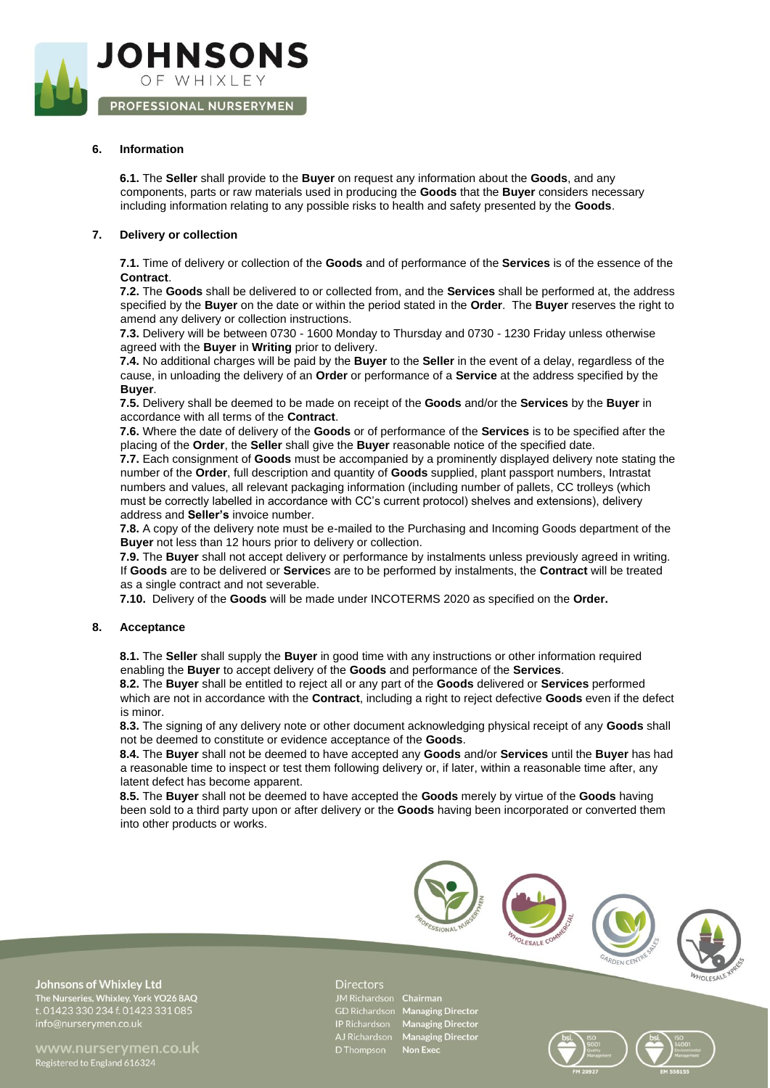

# **6. Information**

**6.1.** The **Seller** shall provide to the **Buyer** on request any information about the **Goods**, and any components, parts or raw materials used in producing the **Goods** that the **Buyer** considers necessary including information relating to any possible risks to health and safety presented by the **Goods**.

#### **7. Delivery or collection**

**7.1.** Time of delivery or collection of the **Goods** and of performance of the **Services** is of the essence of the **Contract**.

**7.2.** The **Goods** shall be delivered to or collected from, and the **Services** shall be performed at, the address specified by the **Buyer** on the date or within the period stated in the **Order**. The **Buyer** reserves the right to amend any delivery or collection instructions.

**7.3.** Delivery will be between 0730 - 1600 Monday to Thursday and 0730 - 1230 Friday unless otherwise agreed with the **Buyer** in **Writing** prior to delivery.

**7.4.** No additional charges will be paid by the **Buyer** to the **Seller** in the event of a delay, regardless of the cause, in unloading the delivery of an **Order** or performance of a **Service** at the address specified by the **Buyer**.

**7.5.** Delivery shall be deemed to be made on receipt of the **Goods** and/or the **Services** by the **Buyer** in accordance with all terms of the **Contract**.

**7.6.** Where the date of delivery of the **Goods** or of performance of the **Services** is to be specified after the placing of the **Order**, the **Seller** shall give the **Buyer** reasonable notice of the specified date.

**7.7.** Each consignment of **Goods** must be accompanied by a prominently displayed delivery note stating the number of the **Order**, full description and quantity of **Goods** supplied, plant passport numbers, Intrastat numbers and values, all relevant packaging information (including number of pallets, CC trolleys (which must be correctly labelled in accordance with CC's current protocol) shelves and extensions), delivery address and **Seller's** invoice number.

**7.8.** A copy of the delivery note must be e-mailed to the Purchasing and Incoming Goods department of the **Buyer** not less than 12 hours prior to delivery or collection.

**7.9.** The **Buyer** shall not accept delivery or performance by instalments unless previously agreed in writing. If **Goods** are to be delivered or **Service**s are to be performed by instalments, the **Contract** will be treated as a single contract and not severable.

**7.10.** Delivery of the **Goods** will be made under INCOTERMS 2020 as specified on the **Order.**

#### **8. Acceptance**

**8.1.** The **Seller** shall supply the **Buyer** in good time with any instructions or other information required enabling the **Buyer** to accept delivery of the **Goods** and performance of the **Services**.

**8.2.** The **Buyer** shall be entitled to reject all or any part of the **Goods** delivered or **Services** performed which are not in accordance with the **Contract**, including a right to reject defective **Goods** even if the defect is minor.

**8.3.** The signing of any delivery note or other document acknowledging physical receipt of any **Goods** shall not be deemed to constitute or evidence acceptance of the **Goods**.

**8.4.** The **Buyer** shall not be deemed to have accepted any **Goods** and/or **Services** until the **Buyer** has had a reasonable time to inspect or test them following delivery or, if later, within a reasonable time after, any latent defect has become apparent.

**8.5.** The **Buyer** shall not be deemed to have accepted the **Goods** merely by virtue of the **Goods** having been sold to a third party upon or after delivery or the **Goods** having been incorporated or converted them into other products or works.



**Johnsons of Whixley Ltd** The Nurseries, Whixley, York YO26 8AQ<br>t. 01423 330 234 f. 01423 331 085

www.nurservmen.co.uk Registered to England 616324

#### **Directors**

JM Richardson Chairman

GD Richardson Managing Director IP Richardson Managing Director<br>AJ Richardson Managing Director<br>D Thompson Non Exec

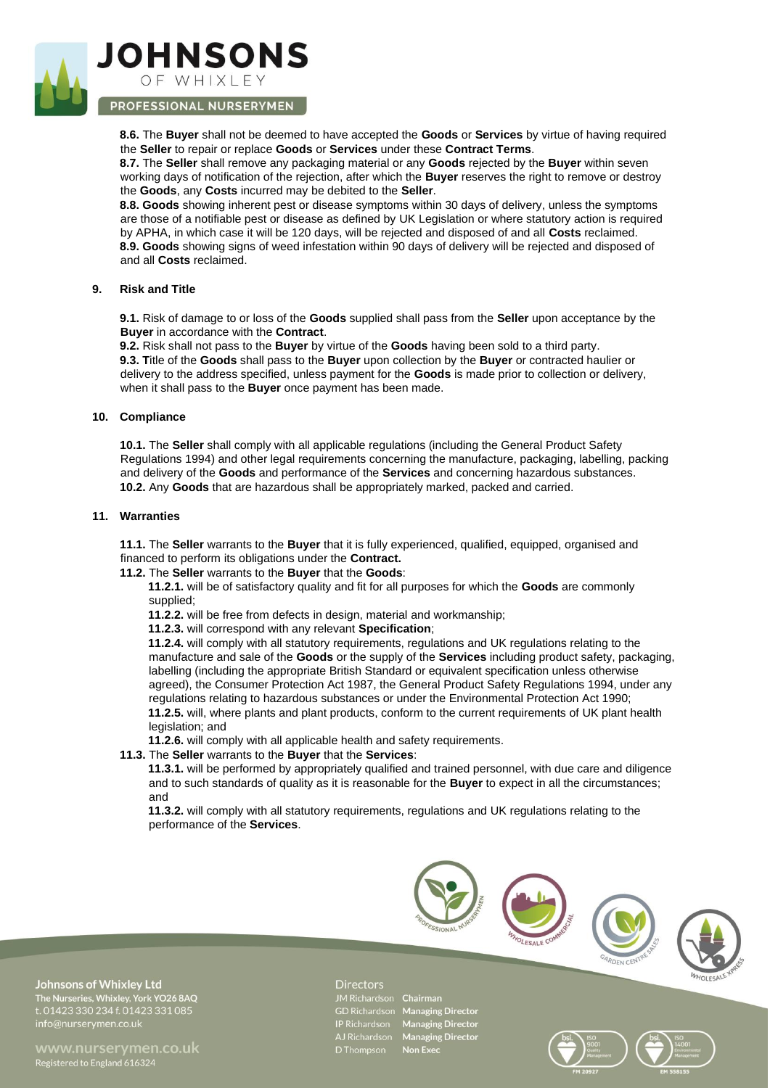

# PROFESSIONAL NURSERYMEN

**8.6.** The **Buyer** shall not be deemed to have accepted the **Goods** or **Services** by virtue of having required the **Seller** to repair or replace **Goods** or **Services** under these **Contract Terms**.

**8.7.** The **Seller** shall remove any packaging material or any **Goods** rejected by the **Buyer** within seven working days of notification of the rejection, after which the **Buyer** reserves the right to remove or destroy the **Goods**, any **Costs** incurred may be debited to the **Seller**.

**8.8. Goods** showing inherent pest or disease symptoms within 30 days of delivery, unless the symptoms are those of a notifiable pest or disease as defined by UK Legislation or where statutory action is required by APHA, in which case it will be 120 days, will be rejected and disposed of and all **Costs** reclaimed. **8.9. Goods** showing signs of weed infestation within 90 days of delivery will be rejected and disposed of and all **Costs** reclaimed.

#### **9. Risk and Title**

**9.1.** Risk of damage to or loss of the **Goods** supplied shall pass from the **Seller** upon acceptance by the **Buyer** in accordance with the **Contract**.

**9.2.** Risk shall not pass to the **Buyer** by virtue of the **Goods** having been sold to a third party. **9.3. T**itle of the **Goods** shall pass to the **Buyer** upon collection by the **Buyer** or contracted haulier or delivery to the address specified, unless payment for the **Goods** is made prior to collection or delivery, when it shall pass to the **Buyer** once payment has been made.

## **10. Compliance**

**10.1.** The **Seller** shall comply with all applicable regulations (including the General Product Safety Regulations 1994) and other legal requirements concerning the manufacture, packaging, labelling, packing and delivery of the **Goods** and performance of the **Services** and concerning hazardous substances. **10.2.** Any **Goods** that are hazardous shall be appropriately marked, packed and carried.

#### **11. Warranties**

**11.1.** The **Seller** warrants to the **Buyer** that it is fully experienced, qualified, equipped, organised and financed to perform its obligations under the **Contract.** 

#### **11.2.** The **Seller** warrants to the **Buyer** that the **Goods**:

**11.2.1.** will be of satisfactory quality and fit for all purposes for which the **Goods** are commonly supplied;

**11.2.2.** will be free from defects in design, material and workmanship;

**11.2.3.** will correspond with any relevant **Specification**;

**11.2.4.** will comply with all statutory requirements, regulations and UK regulations relating to the manufacture and sale of the **Goods** or the supply of the **Services** including product safety, packaging, labelling (including the appropriate British Standard or equivalent specification unless otherwise agreed), the Consumer Protection Act 1987, the General Product Safety Regulations 1994, under any regulations relating to hazardous substances or under the Environmental Protection Act 1990; **11.2.5.** will, where plants and plant products, conform to the current requirements of UK plant health legislation; and

**11.2.6.** will comply with all applicable health and safety requirements.

**11.3.** The **Seller** warrants to the **Buyer** that the **Services**:

**11.3.1.** will be performed by appropriately qualified and trained personnel, with due care and diligence and to such standards of quality as it is reasonable for the **Buyer** to expect in all the circumstances; and

**11.3.2.** will comply with all statutory requirements, regulations and UK regulations relating to the performance of the **Services**.



**Johnsons of Whixley Ltd** The Nurseries, Whixley, York YO26 8AQ<br>t. 01423 330 234 f. 01423 331 085

www.nurservmen.co.uk Registered to England 616324

#### **Directors**

JM Richardson Chairman GD Richardson Managing Director IP Richardson Managing Director<br>AJ Richardson Managing Director<br>D Thompson Non Exec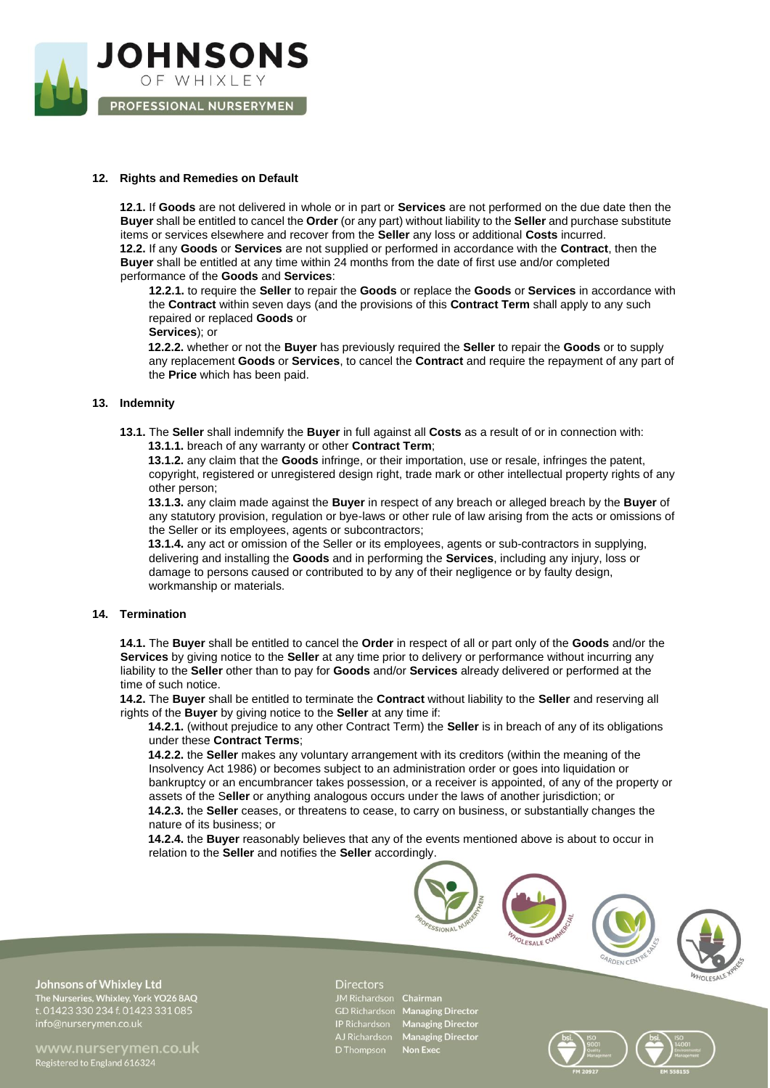

## **12. Rights and Remedies on Default**

**12.1.** If **Goods** are not delivered in whole or in part or **Services** are not performed on the due date then the **Buyer** shall be entitled to cancel the **Order** (or any part) without liability to the **Seller** and purchase substitute items or services elsewhere and recover from the **Seller** any loss or additional **Costs** incurred. **12.2.** If any **Goods** or **Services** are not supplied or performed in accordance with the **Contract**, then the **Buyer** shall be entitled at any time within 24 months from the date of first use and/or completed performance of the **Goods** and **Services**:

**12.2.1.** to require the **Seller** to repair the **Goods** or replace the **Goods** or **Services** in accordance with the **Contract** within seven days (and the provisions of this **Contract Term** shall apply to any such repaired or replaced **Goods** or

**Services**); or

**12.2.2.** whether or not the **Buyer** has previously required the **Seller** to repair the **Goods** or to supply any replacement **Goods** or **Services**, to cancel the **Contract** and require the repayment of any part of the **Price** which has been paid.

## **13. Indemnity**

**13.1.** The **Seller** shall indemnify the **Buyer** in full against all **Costs** as a result of or in connection with: **13.1.1.** breach of any warranty or other **Contract Term**;

**13.1.2.** any claim that the **Goods** infringe, or their importation, use or resale, infringes the patent, copyright, registered or unregistered design right, trade mark or other intellectual property rights of any other person;

**13.1.3.** any claim made against the **Buyer** in respect of any breach or alleged breach by the **Buyer** of any statutory provision, regulation or bye-laws or other rule of law arising from the acts or omissions of the Seller or its employees, agents or subcontractors;

**13.1.4.** any act or omission of the Seller or its employees, agents or sub-contractors in supplying, delivering and installing the **Goods** and in performing the **Services**, including any injury, loss or damage to persons caused or contributed to by any of their negligence or by faulty design, workmanship or materials.

# **14. Termination**

**14.1.** The **Buyer** shall be entitled to cancel the **Order** in respect of all or part only of the **Goods** and/or the **Services** by giving notice to the **Seller** at any time prior to delivery or performance without incurring any liability to the **Seller** other than to pay for **Goods** and/or **Services** already delivered or performed at the time of such notice.

**14.2.** The **Buyer** shall be entitled to terminate the **Contract** without liability to the **Seller** and reserving all rights of the **Buyer** by giving notice to the **Seller** at any time if:

**14.2.1.** (without prejudice to any other Contract Term) the **Seller** is in breach of any of its obligations under these **Contract Terms**;

**14.2.2.** the **Seller** makes any voluntary arrangement with its creditors (within the meaning of the Insolvency Act 1986) or becomes subject to an administration order or goes into liquidation or bankruptcy or an encumbrancer takes possession, or a receiver is appointed, of any of the property or assets of the S**eller** or anything analogous occurs under the laws of another jurisdiction; or **14.2.3.** the **Seller** ceases, or threatens to cease, to carry on business, or substantially changes the nature of its business; or

**14.2.4.** the **Buyer** reasonably believes that any of the events mentioned above is about to occur in relation to the **Seller** and notifies the **Seller** accordingly.



www.nurservmen.co.uk Registered to England 616324

#### **Directors**

JM Richardson Chairman AJ Richardso<br>D Thompson

GD Richardson Managing Director IP Richardson Managing Director<br>AJ Richardson Managing Director<br>D Thompson Non Exec